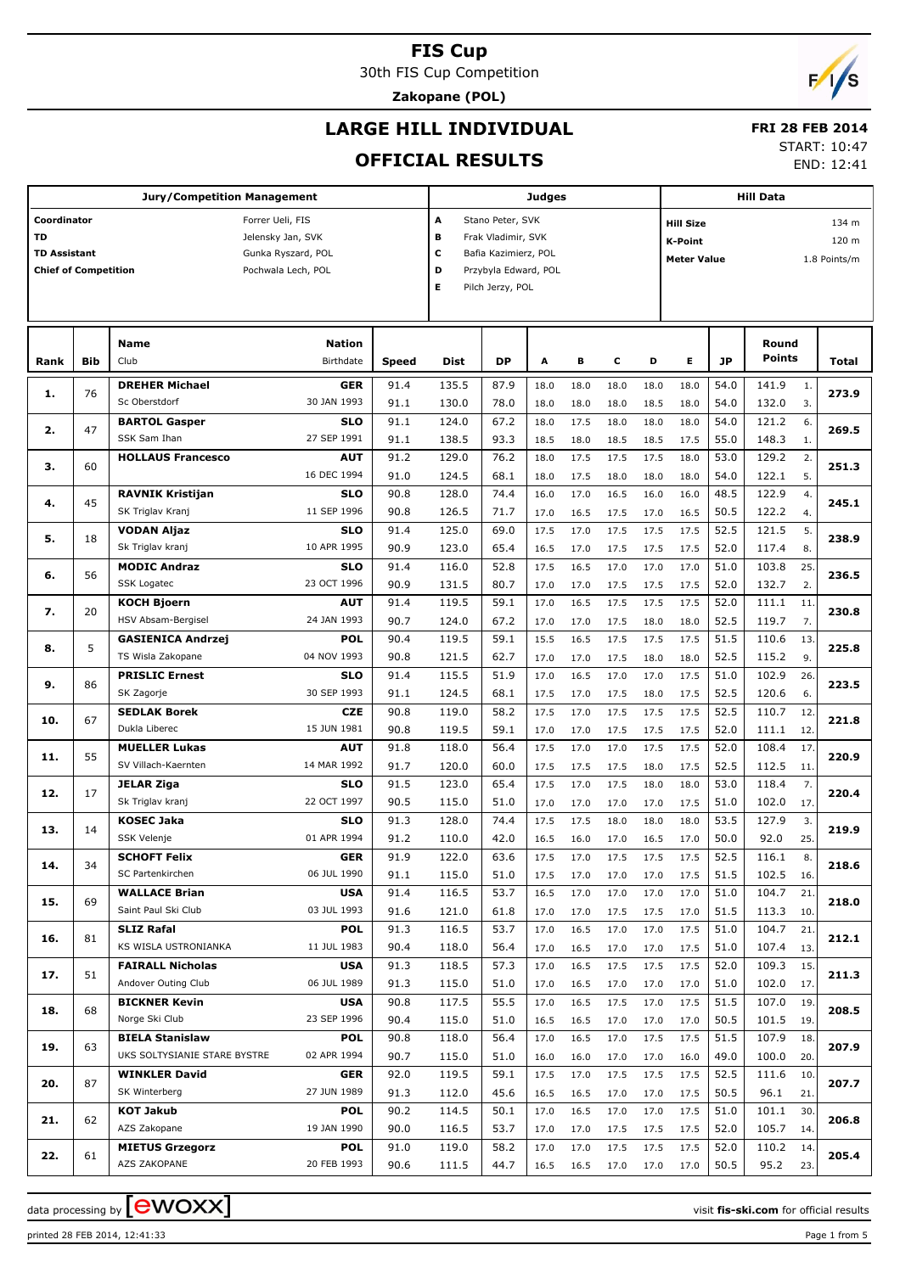30th FIS Cup Competition

**Zakopane (POL)**

## **LARGE HILL INDIVIDUAL**

#### **FRI 28 FEB 2014**

#### **OFFICIAL RESULTS**

START: 10:47

END: 12:41

|                             |     | <b>Jury/Competition Management</b> |                    |       |       |                      | Judges |      |      |      |                    |           | <b>Hill Data</b> |                  |              |
|-----------------------------|-----|------------------------------------|--------------------|-------|-------|----------------------|--------|------|------|------|--------------------|-----------|------------------|------------------|--------------|
| Coordinator                 |     |                                    | Forrer Ueli, FIS   |       | Α     | Stano Peter, SVK     |        |      |      |      | <b>Hill Size</b>   |           |                  |                  | 134 m        |
| <b>TD</b>                   |     |                                    | Jelensky Jan, SVK  |       | в     | Frak Vladimir, SVK   |        |      |      |      | <b>K-Point</b>     |           |                  |                  | 120 m        |
| <b>TD Assistant</b>         |     |                                    | Gunka Ryszard, POL |       | c     | Bafia Kazimierz, POL |        |      |      |      | <b>Meter Value</b> |           |                  |                  | 1.8 Points/m |
| <b>Chief of Competition</b> |     |                                    | Pochwala Lech, POL |       | D     | Przybyla Edward, POL |        |      |      |      |                    |           |                  |                  |              |
|                             |     |                                    |                    |       | Е     | Pilch Jerzy, POL     |        |      |      |      |                    |           |                  |                  |              |
|                             |     |                                    |                    |       |       |                      |        |      |      |      |                    |           |                  |                  |              |
|                             |     |                                    |                    |       |       |                      |        |      |      |      |                    |           |                  |                  |              |
|                             |     | <b>Name</b>                        | <b>Nation</b>      |       |       |                      |        |      |      |      |                    |           | Round            |                  |              |
| Rank                        | Bib | Club                               | Birthdate          | Speed | Dist  | DP                   | A      | В    | с    | D    | Е                  | <b>JP</b> | Points           |                  | Total        |
|                             |     | <b>DREHER Michael</b>              | <b>GER</b>         | 91.4  | 135.5 | 87.9                 | 18.0   | 18.0 | 18.0 | 18.0 | 18.0               | 54.0      | 141.9            | 1.               |              |
| 1.                          | 76  | Sc Oberstdorf                      | 30 JAN 1993        | 91.1  | 130.0 | 78.0                 | 18.0   | 18.0 | 18.0 | 18.5 | 18.0               | 54.0      | 132.0            | 3.               | 273.9        |
|                             |     | <b>BARTOL Gasper</b>               | <b>SLO</b>         | 91.1  | 124.0 | 67.2                 | 18.0   | 17.5 | 18.0 | 18.0 | 18.0               | 54.0      | 121.2            | 6.               |              |
| 2.                          | 47  | SSK Sam Ihan                       | 27 SEP 1991        | 91.1  | 138.5 | 93.3                 | 18.5   | 18.0 | 18.5 | 18.5 | 17.5               | 55.0      | 148.3            | 1.               | 269.5        |
|                             |     | <b>HOLLAUS Francesco</b>           | AUT                | 91.2  | 129.0 | 76.2                 | 18.0   | 17.5 | 17.5 | 17.5 | 18.0               | 53.0      | 129.2            | 2.               |              |
| з.                          | 60  |                                    | 16 DEC 1994        | 91.0  | 124.5 | 68.1                 | 18.0   | 17.5 | 18.0 | 18.0 | 18.0               | 54.0      | 122.1            | 5.               | 251.3        |
|                             |     | <b>RAVNIK Kristijan</b>            | <b>SLO</b>         | 90.8  | 128.0 | 74.4                 | 16.0   | 17.0 | 16.5 | 16.0 | 16.0               | 48.5      | 122.9            | $\overline{4}$ . |              |
| 4.                          | 45  | SK Triglav Kranj                   | 11 SEP 1996        | 90.8  | 126.5 | 71.7                 | 17.0   | 16.5 | 17.5 | 17.0 | 16.5               | 50.5      | 122.2            | 4.               | 245.1        |
|                             |     | <b>VODAN Aljaz</b>                 | <b>SLO</b>         | 91.4  | 125.0 | 69.0                 | 17.5   | 17.0 | 17.5 | 17.5 | 17.5               | 52.5      | 121.5            | 5.               |              |
| 5.                          | 18  | Sk Triglav kranj                   | 10 APR 1995        | 90.9  | 123.0 | 65.4                 | 16.5   | 17.0 | 17.5 | 17.5 | 17.5               | 52.0      | 117.4            | 8.               | 238.9        |
|                             |     | <b>MODIC Andraz</b>                | <b>SLO</b>         | 91.4  | 116.0 | 52.8                 | 17.5   | 16.5 | 17.0 | 17.0 | 17.0               | 51.0      | 103.8            | 25.              |              |
| 6.                          | 56  | SSK Logatec                        | 23 OCT 1996        | 90.9  | 131.5 | 80.7                 | 17.0   | 17.0 | 17.5 | 17.5 | 17.5               | 52.0      | 132.7            | 2.               | 236.5        |
|                             |     | <b>KOCH Bjoern</b>                 | <b>AUT</b>         | 91.4  | 119.5 | 59.1                 | 17.0   | 16.5 | 17.5 | 17.5 | 17.5               | 52.0      | 111.1            | 11.              |              |
| 7.                          | 20  | HSV Absam-Bergisel                 | 24 JAN 1993        | 90.7  | 124.0 | 67.2                 | 17.0   | 17.0 | 17.5 | 18.0 | 18.0               | 52.5      | 119.7            | 7.               | 230.8        |
|                             |     | <b>GASIENICA Andrzej</b>           | <b>POL</b>         | 90.4  | 119.5 | 59.1                 | 15.5   | 16.5 | 17.5 | 17.5 | 17.5               | 51.5      | 110.6            | 13.              |              |
| 8.                          | 5   | TS Wisla Zakopane                  | 04 NOV 1993        | 90.8  | 121.5 | 62.7                 | 17.0   | 17.0 | 17.5 | 18.0 | 18.0               | 52.5      | 115.2            | 9.               | 225.8        |
|                             |     | <b>PRISLIC Ernest</b>              | <b>SLO</b>         | 91.4  | 115.5 | 51.9                 | 17.0   | 16.5 | 17.0 | 17.0 | 17.5               | 51.0      | 102.9            | 26.              |              |
| 9.                          | 86  | SK Zagorje                         | 30 SEP 1993        | 91.1  | 124.5 | 68.1                 | 17.5   | 17.0 | 17.5 | 18.0 | 17.5               | 52.5      | 120.6            | 6.               | 223.5        |
|                             |     | <b>SEDLAK Borek</b>                | <b>CZE</b>         | 90.8  | 119.0 | 58.2                 | 17.5   | 17.0 | 17.5 | 17.5 | 17.5               | 52.5      | 110.7            | 12               |              |
| 10.                         | 67  | Dukla Liberec                      | 15 JUN 1981        | 90.8  | 119.5 | 59.1                 | 17.0   | 17.0 | 17.5 | 17.5 | 17.5               | 52.0      | 111.1            | 12.              | 221.8        |
|                             |     | <b>MUELLER Lukas</b>               | <b>AUT</b>         | 91.8  | 118.0 | 56.4                 | 17.5   | 17.0 | 17.0 | 17.5 | 17.5               | 52.0      | 108.4            | 17               |              |
| 11.                         | 55  | SV Villach-Kaernten                | 14 MAR 1992        | 91.7  | 120.0 | 60.0                 | 17.5   | 17.5 | 17.5 | 18.0 | 17.5               | 52.5      | 112.5            | 11.              | 220.9        |
|                             |     | <b>JELAR Ziga</b>                  | <b>SLO</b>         | 91.5  | 123.0 | 65.4                 | 17.5   | 17.0 | 17.5 | 18.0 | 18.0               | 53.0      | 118.4            | 7.               |              |
| 12.                         | 17  | Sk Triglav kranj                   | 22 OCT 1997        | 90.5  | 115.0 | 51.0                 | 17.0   | 17.0 | 17.0 | 17.0 | 17.5               | 51.0      | 102.0            | 17.              | 220.4        |
|                             |     | <b>KOSEC Jaka</b>                  | <b>SLO</b>         | 91.3  | 128.0 | 74.4                 | 17.5   | 17.5 | 18.0 | 18.0 | 18.0               | 53.5      | 127.9            | 3.               |              |
| 13.                         | 14  | SSK Velenje                        | 01 APR 1994        | 91.2  | 110.0 | 42.0                 | 16.5   | 16.0 | 17.0 | 16.5 | 17.0               | 50.0      | 92.0             | 25.              | 219.9        |
|                             |     | <b>SCHOFT Felix</b>                | <b>GER</b>         | 91.9  | 122.0 | 63.6                 | 17.5   | 17.0 | 17.5 | 17.5 | 17.5               | 52.5      | 116.1            | 8.               |              |
| 14.                         | 34  | SC Partenkirchen                   | 06 JUL 1990        | 91.1  | 115.0 | 51.0                 | 17.5   | 17.0 | 17.0 | 17.0 | 17.5               | 51.5      | 102.5 16.        |                  | 218.6        |
|                             |     | <b>WALLACE Brian</b>               | <b>USA</b>         | 91.4  | 116.5 | 53.7                 | 16.5   | 17.0 | 17.0 | 17.0 | 17.0               | 51.0      | 104.7            | 21.              |              |
| 15.                         | 69  | Saint Paul Ski Club                | 03 JUL 1993        | 91.6  | 121.0 | 61.8                 | 17.0   | 17.0 | 17.5 | 17.5 | 17.0               | 51.5      | 113.3 10.        |                  | 218.0        |
|                             |     | <b>SLIZ Rafal</b>                  | <b>POL</b>         | 91.3  | 116.5 | 53.7                 | 17.0   | 16.5 | 17.0 | 17.0 | 17.5               | 51.0      | 104.7            | 21.              |              |
| 16.                         | 81  | KS WISLA USTRONIANKA               | 11 JUL 1983        | 90.4  | 118.0 | 56.4                 | 17.0   | 16.5 | 17.0 | 17.0 | 17.5               | 51.0      | 107.4            | 13.              | 212.1        |
|                             |     | <b>FAIRALL Nicholas</b>            | <b>USA</b>         | 91.3  | 118.5 | 57.3                 | 17.0   | 16.5 | 17.5 | 17.5 | 17.5               | 52.0      | 109.3            | 15.              |              |
| 17.                         | 51  | Andover Outing Club                | 06 JUL 1989        | 91.3  | 115.0 | 51.0                 | 17.0   | 16.5 | 17.0 | 17.0 | 17.0               | 51.0      | 102.0            | 17.              | 211.3        |
|                             |     | <b>BICKNER Kevin</b>               | <b>USA</b>         | 90.8  | 117.5 | 55.5                 | 17.0   | 16.5 | 17.5 | 17.0 | 17.5               | 51.5      | 107.0            | 19.              |              |
| 18.                         | 68  | Norge Ski Club                     | 23 SEP 1996        | 90.4  | 115.0 | 51.0                 | 16.5   | 16.5 | 17.0 | 17.0 | 17.0               | 50.5      | 101.5            | 19.              | 208.5        |
|                             |     | <b>BIELA Stanislaw</b>             | <b>POL</b>         | 90.8  | 118.0 | 56.4                 | 17.0   | 16.5 | 17.0 | 17.5 | 17.5               | 51.5      | 107.9            | 18.              |              |
| 19.                         | 63  | UKS SOLTYSIANIE STARE BYSTRE       | 02 APR 1994        | 90.7  | 115.0 | 51.0                 | 16.0   | 16.0 | 17.0 | 17.0 | 16.0               | 49.0      | 100.0            | 20.              | 207.9        |
|                             |     | <b>WINKLER David</b>               | <b>GER</b>         | 92.0  | 119.5 | 59.1                 | 17.5   | 17.0 | 17.5 | 17.5 | 17.5               | 52.5      | 111.6            | 10.              |              |
| 20.                         | 87  | SK Winterberg                      | 27 JUN 1989        | 91.3  | 112.0 | 45.6                 | 16.5   | 16.5 | 17.0 | 17.0 | 17.5               | 50.5      | 96.1             | 21.              | 207.7        |
|                             |     | <b>KOT Jakub</b>                   | <b>POL</b>         | 90.2  | 114.5 | 50.1                 | 17.0   | 16.5 | 17.0 | 17.0 | 17.5               | 51.0      | 101.1            | 30.              |              |
| 21.                         | 62  | AZS Zakopane                       | 19 JAN 1990        | 90.0  | 116.5 | 53.7                 | 17.0   | 17.0 | 17.5 | 17.5 | 17.5               | 52.0      | 105.7            | 14.              | 206.8        |
|                             |     | <b>MIETUS Grzegorz</b>             | <b>POL</b>         | 91.0  | 119.0 | 58.2                 | 17.0   | 17.0 | 17.5 | 17.5 | 17.5               | 52.0      | 110.2            | 14.              |              |
| 22.                         | 61  | AZS ZAKOPANE                       | 20 FEB 1993        | 90.6  | 111.5 | 44.7                 | 16.5   | 16.5 | 17.0 | 17.0 | 17.0               | 50.5      | 95.2             | 23.              | 205.4        |

data processing by **CWOXX** and  $\overline{C}$  and  $\overline{C}$  and  $\overline{C}$  and  $\overline{C}$  and  $\overline{C}$  and  $\overline{C}$  and  $\overline{C}$  and  $\overline{C}$  and  $\overline{C}$  and  $\overline{C}$  and  $\overline{C}$  and  $\overline{C}$  and  $\overline{C}$  and  $\overline{C}$  and  $\overline{C}$ 

printed 28 FEB 2014, 12:41:33 Page 1 from 5

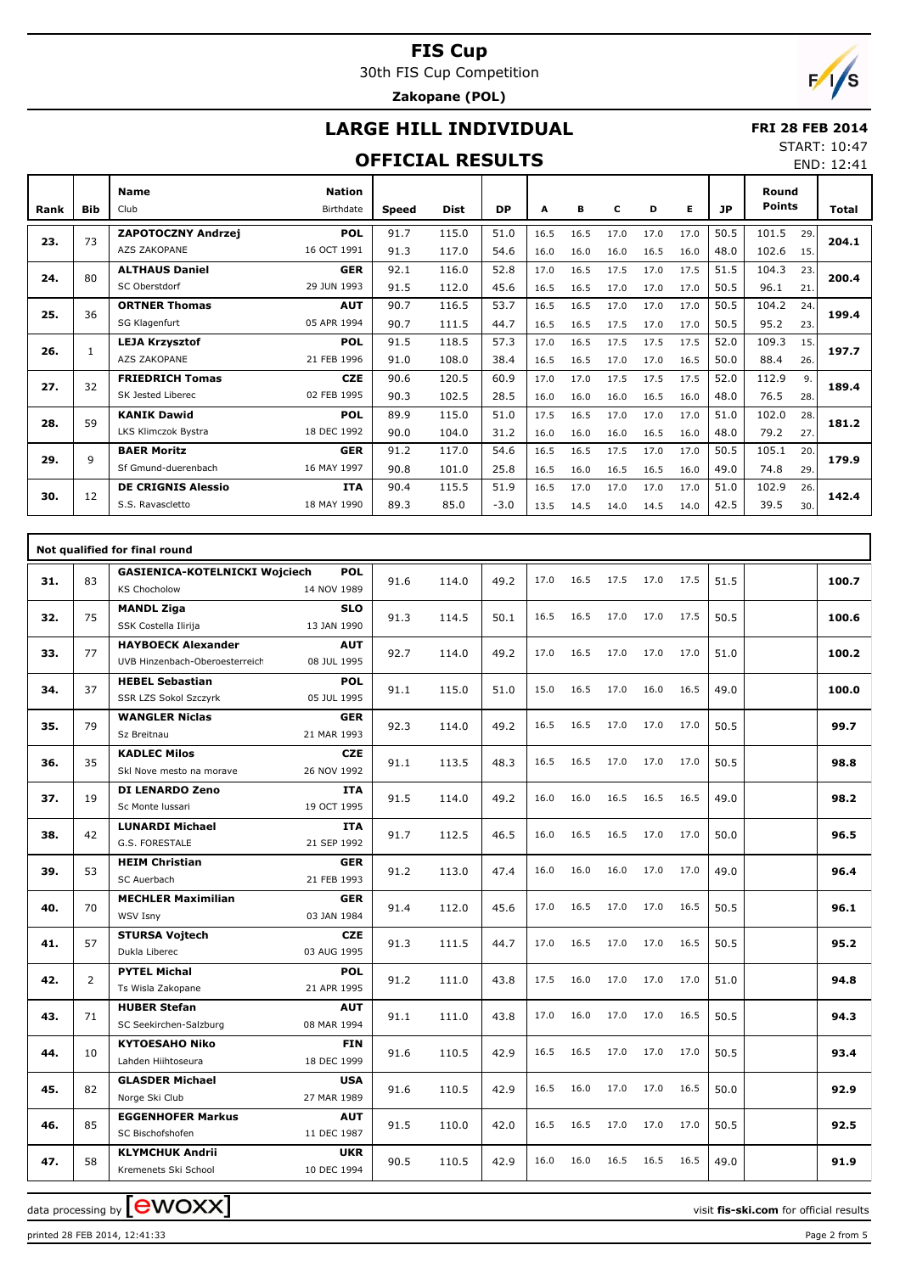30th FIS Cup Competition

#### **Zakopane (POL)**

## **LARGE HILL INDIVIDUAL**

#### **FRI 28 FEB 2014** START: 10:47

#### **OFFICIAL RESULTS**

**Bib Name** Club Birthdate **Nation Rank Speed Dist DP A B C D E JP Total Round Points ZAPOTOCZNY Andrzej** AZS ZAKOPANE **POL** 16 OCT 1991 73 91.7 115.0 | 51.0 | 16.5 16.5 17.0 17.0 17.0 | 50.5 | 101.5 91.3 117.0 54.6 16.0 16.0 16.0 16.5 16.0 48.0 102.6 15. 29. **23. 204.1 ALTHAUS Daniel** SC Oberstdorf **GER** 29 JUN 1993 80 92.1 116.0 52.8 17.0 16.5 17.5 17.0 17.5 51.5 104.3 91.5 112.0 45.6 16.5 16.5 17.0 17.0 17.0 50.5 96.1 21. 23. **24. 200.4 ORTNER Thomas** SG Klagenfurt **AUT** 05 APR 1994 36 90.7 116.5 53.7 16.5 16.5 17.0 17.0 17.0 50.5 104.2 90.7 111.5 44.7 16.5 16.5 17.5 17.0 17.0 50.5 95.2 23.  $\overline{24}$ . **25. 199.4 LEJA Krzysztof** AZS ZAKOPANE **POL** 21 FEB 1996 1 91.5 118.5 57.3 17.0 16.5 17.5 17.5 17.5 52.0 109.3 91.0 108.0 38.4 16.5 16.5 17.0 17.0 16.5 50.0 88.4 26. 15. **26. 197.7 FRIEDRICH Tomas** SK Jested Liberec **CZE** 02 FEB 1995 32 90.6 120.5 60.9 17.0 17.0 17.5 17.5 17.5 52.0 112.9 90.3 102.5 28.5 16.0 16.0 16.0 16.5 16.0 48.0 76.5 28. 9. **27. 189.4 KANIK Dawid** LKS Klimczok Bystra **POL** 18 DEC 1992 59 89.9 115.0 51.0 17.5 16.5 17.0 17.0 17.0 51.0 102.0 90.0 104.0 31.2 16.0 16.0 16.0 16.5 16.0 48.0 79.2 27. 28. **28. 181.2 BAER Moritz** Sf Gmund-duerenbach **GER** 16 MAY 1997 9 91.2 117.0 54.6 16.5 16.5 17.5 17.0 17.0 50.5 105.1 90.8 101.0 25.8 16.5 16.0 16.5 16.5 16.0 49.0 74.8 29. 20. **29. 179.9 DE CRIGNIS Alessio** S.S. Ravascletto **ITA** 18 MAY 1990 12 90.4 115.5 51.9 16.5 17.0 17.0 17.0 17.0 51.0 102.9 89.3 85.0 -3.0 13.5 14.5 14.0 14.5 14.0 42.5 39.5 30. 26. **30. 142.4**

|     |                | Not qualified for final round                               |                           |      |       |      |      |      |      |      |      |      |       |
|-----|----------------|-------------------------------------------------------------|---------------------------|------|-------|------|------|------|------|------|------|------|-------|
| 31. | 83             | <b>GASIENICA-KOTELNICKI Wojciech</b><br><b>KS Chocholow</b> | <b>POL</b><br>14 NOV 1989 | 91.6 | 114.0 | 49.2 | 17.0 | 16.5 | 17.5 | 17.0 | 17.5 | 51.5 | 100.7 |
| 32. | 75             | <b>MANDL Ziga</b><br>SSK Costella Ilirija                   | <b>SLO</b><br>13 JAN 1990 | 91.3 | 114.5 | 50.1 | 16.5 | 16.5 | 17.0 | 17.0 | 17.5 | 50.5 | 100.6 |
| 33. | 77             | <b>HAYBOECK Alexander</b><br>UVB Hinzenbach-Oberoesterreich | <b>AUT</b><br>08 JUL 1995 | 92.7 | 114.0 | 49.2 | 17.0 | 16.5 | 17.0 | 17.0 | 17.0 | 51.0 | 100.2 |
| 34. | 37             | <b>HEBEL Sebastian</b><br>SSR LZS Sokol Szczyrk             | <b>POL</b><br>05 JUL 1995 | 91.1 | 115.0 | 51.0 | 15.0 | 16.5 | 17.0 | 16.0 | 16.5 | 49.0 | 100.0 |
| 35. | 79             | <b>WANGLER Niclas</b><br>Sz Breitnau                        | <b>GER</b><br>21 MAR 1993 | 92.3 | 114.0 | 49.2 | 16.5 | 16.5 | 17.0 | 17.0 | 17.0 | 50.5 | 99.7  |
| 36. | 35             | <b>KADLEC Milos</b><br>Skl Nove mesto na morave             | <b>CZE</b><br>26 NOV 1992 | 91.1 | 113.5 | 48.3 | 16.5 | 16.5 | 17.0 | 17.0 | 17.0 | 50.5 | 98.8  |
| 37. | 19             | <b>DI LENARDO Zeno</b><br>Sc Monte Iussari                  | <b>ITA</b><br>19 OCT 1995 | 91.5 | 114.0 | 49.2 | 16.0 | 16.0 | 16.5 | 16.5 | 16.5 | 49.0 | 98.2  |
| 38. | 42             | <b>LUNARDI Michael</b><br><b>G.S. FORESTALE</b>             | <b>ITA</b><br>21 SEP 1992 | 91.7 | 112.5 | 46.5 | 16.0 | 16.5 | 16.5 | 17.0 | 17.0 | 50.0 | 96.5  |
| 39. | 53             | <b>HEIM Christian</b><br>SC Auerbach                        | <b>GER</b><br>21 FEB 1993 | 91.2 | 113.0 | 47.4 | 16.0 | 16.0 | 16.0 | 17.0 | 17.0 | 49.0 | 96.4  |
| 40. | 70             | <b>MECHLER Maximilian</b><br>WSV Isny                       | <b>GER</b><br>03 JAN 1984 | 91.4 | 112.0 | 45.6 | 17.0 | 16.5 | 17.0 | 17.0 | 16.5 | 50.5 | 96.1  |
| 41. | 57             | <b>STURSA Vojtech</b><br>Dukla Liberec                      | <b>CZE</b><br>03 AUG 1995 | 91.3 | 111.5 | 44.7 | 17.0 | 16.5 | 17.0 | 17.0 | 16.5 | 50.5 | 95.2  |
| 42. | $\overline{2}$ | <b>PYTEL Michal</b><br>Ts Wisla Zakopane                    | <b>POL</b><br>21 APR 1995 | 91.2 | 111.0 | 43.8 | 17.5 | 16.0 | 17.0 | 17.0 | 17.0 | 51.0 | 94.8  |
| 43. | 71             | <b>HUBER Stefan</b><br>SC Seekirchen-Salzburg               | <b>AUT</b><br>08 MAR 1994 | 91.1 | 111.0 | 43.8 | 17.0 | 16.0 | 17.0 | 17.0 | 16.5 | 50.5 | 94.3  |
| 44. | 10             | <b>KYTOESAHO Niko</b><br>Lahden Hiihtoseura                 | <b>FIN</b><br>18 DEC 1999 | 91.6 | 110.5 | 42.9 | 16.5 | 16.5 | 17.0 | 17.0 | 17.0 | 50.5 | 93.4  |
| 45. | 82             | <b>GLASDER Michael</b><br>Norge Ski Club                    | <b>USA</b><br>27 MAR 1989 | 91.6 | 110.5 | 42.9 | 16.5 | 16.0 | 17.0 | 17.0 | 16.5 | 50.0 | 92.9  |
| 46. | 85             | <b>EGGENHOFER Markus</b><br>SC Bischofshofen                | <b>AUT</b><br>11 DEC 1987 | 91.5 | 110.0 | 42.0 | 16.5 | 16.5 | 17.0 | 17.0 | 17.0 | 50.5 | 92.5  |
| 47. | 58             | <b>KLYMCHUK Andrii</b><br>Kremenets Ski School              | <b>UKR</b><br>10 DEC 1994 | 90.5 | 110.5 | 42.9 | 16.0 | 16.0 | 16.5 | 16.5 | 16.5 | 49.0 | 91.9  |

data processing by  $\boxed{\text{ewOX}}$ 



END: 12:41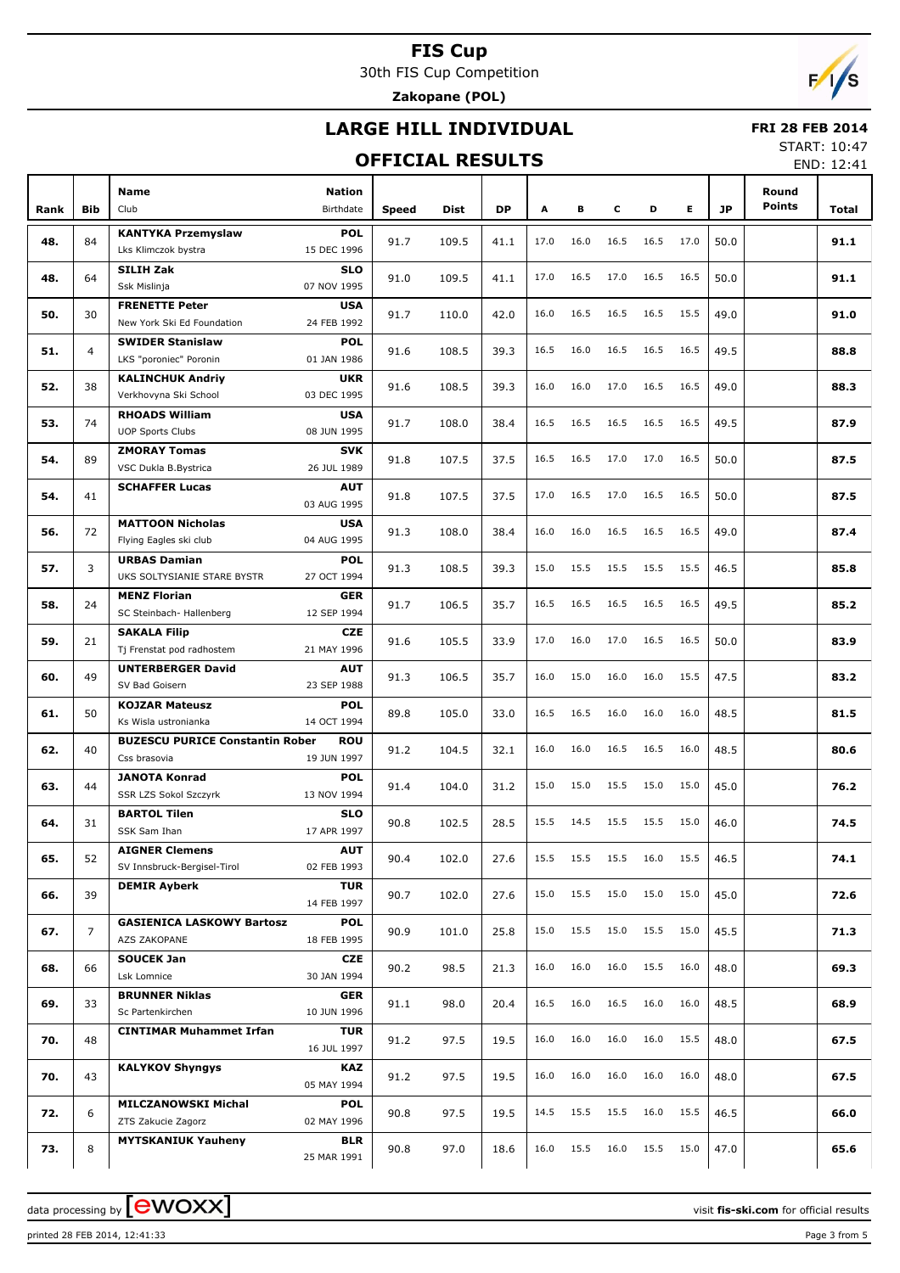30th FIS Cup Competition

**Zakopane (POL)**

## **LARGE HILL INDIVIDUAL**

#### **OFFICIAL RESULTS**

 **FRI 28 FEB 2014** START: 10:47

END: 12:41

|      |                |                                                    |                            |              |       |           |      |      |      |      |      |           |                        | LIVD. IZ.41 |
|------|----------------|----------------------------------------------------|----------------------------|--------------|-------|-----------|------|------|------|------|------|-----------|------------------------|-------------|
| Rank | <b>Bib</b>     | <b>Name</b><br>Club                                | <b>Nation</b><br>Birthdate | <b>Speed</b> | Dist  | <b>DP</b> | Α    | в    | c    | D    | E.   | <b>JP</b> | Round<br><b>Points</b> | Total       |
| 48.  | 84             | <b>KANTYKA Przemyslaw</b>                          | <b>POL</b>                 | 91.7         | 109.5 | 41.1      | 17.0 | 16.0 | 16.5 | 16.5 | 17.0 | 50.0      |                        | 91.1        |
|      |                | Lks Klimczok bystra                                | 15 DEC 1996                |              |       |           |      |      |      |      |      |           |                        |             |
| 48.  | 64             | <b>SILIH Zak</b><br>Ssk Mislinja                   | <b>SLO</b><br>07 NOV 1995  | 91.0         | 109.5 | 41.1      | 17.0 | 16.5 | 17.0 | 16.5 | 16.5 | 50.0      |                        | 91.1        |
|      |                | <b>FRENETTE Peter</b>                              | <b>USA</b>                 |              |       |           |      |      |      |      |      |           |                        |             |
| 50.  | 30             | New York Ski Ed Foundation                         | 24 FEB 1992                | 91.7         | 110.0 | 42.0      | 16.0 | 16.5 | 16.5 | 16.5 | 15.5 | 49.0      |                        | 91.0        |
| 51.  | $\overline{4}$ | <b>SWIDER Stanislaw</b>                            | <b>POL</b>                 | 91.6         | 108.5 | 39.3      | 16.5 | 16.0 | 16.5 | 16.5 | 16.5 | 49.5      |                        | 88.8        |
|      |                | LKS "poroniec" Poronin                             | 01 JAN 1986                |              |       |           |      |      |      |      |      |           |                        |             |
| 52.  | 38             | <b>KALINCHUK Andriy</b><br>Verkhovyna Ski School   | <b>UKR</b><br>03 DEC 1995  | 91.6         | 108.5 | 39.3      | 16.0 | 16.0 | 17.0 | 16.5 | 16.5 | 49.0      |                        | 88.3        |
|      |                | <b>RHOADS William</b>                              | <b>USA</b>                 |              |       |           |      |      |      |      |      |           |                        |             |
| 53.  | 74             | <b>UOP Sports Clubs</b>                            | 08 JUN 1995                | 91.7         | 108.0 | 38.4      | 16.5 | 16.5 | 16.5 | 16.5 | 16.5 | 49.5      |                        | 87.9        |
|      |                | <b>ZMORAY Tomas</b>                                | <b>SVK</b>                 |              |       |           |      |      |      |      |      |           |                        |             |
| 54.  | 89             | VSC Dukla B.Bystrica                               | 26 JUL 1989                | 91.8         | 107.5 | 37.5      | 16.5 | 16.5 | 17.0 | 17.0 | 16.5 | 50.0      |                        | 87.5        |
|      |                | <b>SCHAFFER Lucas</b>                              | <b>AUT</b>                 |              |       |           |      |      |      |      |      |           |                        |             |
| 54.  | 41             |                                                    | 03 AUG 1995                | 91.8         | 107.5 | 37.5      | 17.0 | 16.5 | 17.0 | 16.5 | 16.5 | 50.0      |                        | 87.5        |
| 56.  | 72             | <b>MATTOON Nicholas</b>                            | <b>USA</b>                 | 91.3         | 108.0 | 38.4      | 16.0 | 16.0 | 16.5 | 16.5 | 16.5 | 49.0      |                        | 87.4        |
|      |                | Flying Eagles ski club                             | 04 AUG 1995                |              |       |           |      |      |      |      |      |           |                        |             |
| 57.  | 3              | <b>URBAS Damian</b><br>UKS SOLTYSIANIE STARE BYSTR | <b>POL</b><br>27 OCT 1994  | 91.3         | 108.5 | 39.3      | 15.0 | 15.5 | 15.5 | 15.5 | 15.5 | 46.5      |                        | 85.8        |
|      |                | <b>MENZ Florian</b>                                | <b>GER</b>                 |              |       |           | 16.5 | 16.5 | 16.5 | 16.5 |      |           |                        |             |
| 58.  | 24             | SC Steinbach- Hallenberg                           | 12 SEP 1994                | 91.7         | 106.5 | 35.7      |      |      |      |      | 16.5 | 49.5      |                        | 85.2        |
| 59.  | 21             | <b>SAKALA Filip</b>                                | <b>CZE</b>                 | 91.6         | 105.5 | 33.9      | 17.0 | 16.0 | 17.0 | 16.5 | 16.5 | 50.0      |                        | 83.9        |
|      |                | Tj Frenstat pod radhostem                          | 21 MAY 1996                |              |       |           |      |      |      |      |      |           |                        |             |
| 60.  | 49             | <b>UNTERBERGER David</b><br>SV Bad Goisern         | <b>AUT</b><br>23 SEP 1988  | 91.3         | 106.5 | 35.7      | 16.0 | 15.0 | 16.0 | 16.0 | 15.5 | 47.5      |                        | 83.2        |
|      |                | <b>KOJZAR Mateusz</b>                              | <b>POL</b>                 |              |       |           |      |      |      |      |      |           |                        |             |
| 61.  | 50             | Ks Wisla ustronianka                               | 14 OCT 1994                | 89.8         | 105.0 | 33.0      | 16.5 | 16.5 | 16.0 | 16.0 | 16.0 | 48.5      |                        | 81.5        |
|      |                | <b>BUZESCU PURICE Constantin Rober</b>             | <b>ROU</b>                 |              |       |           |      |      |      |      |      |           |                        |             |
| 62.  | 40             | Css brasovia                                       | 19 JUN 1997                | 91.2         | 104.5 | 32.1      | 16.0 | 16.0 | 16.5 | 16.5 | 16.0 | 48.5      |                        | 80.6        |
|      |                | <b>JANOTA Konrad</b>                               | <b>POL</b>                 |              |       |           |      |      |      |      |      |           |                        |             |
| 63.  | 44             | SSR LZS Sokol Szczyrk                              | 13 NOV 1994                | 91.4         | 104.0 | 31.2      | 15.0 | 15.0 | 15.5 | 15.0 | 15.0 | 45.0      |                        | 76.2        |
| 64.  | 31             | <b>BARTOL Tilen</b>                                | <b>SLO</b>                 | 90.8         |       | 28.5      | 15.5 | 14.5 | 15.5 | 15.5 | 15.0 |           |                        | 74.5        |
|      |                | SSK Sam Ihan                                       | 17 APR 1997                |              | 102.5 |           |      |      |      |      |      | 46.0      |                        |             |
| 65.  | 52             | <b>AIGNER Clemens</b>                              | <b>AUT</b>                 | 90.4         | 102.0 | 27.6      | 15.5 | 15.5 | 15.5 | 16.0 | 15.5 | 46.5      |                        | 74.1        |
|      |                | SV Innsbruck-Bergisel-Tirol                        | 02 FEB 1993                |              |       |           |      |      |      |      |      |           |                        |             |
| 66.  | 39             | <b>DEMIR Ayberk</b>                                | <b>TUR</b><br>14 FEB 1997  | 90.7         | 102.0 | 27.6      | 15.0 | 15.5 | 15.0 | 15.0 | 15.0 | 45.0      |                        | 72.6        |
|      |                | <b>GASIENICA LASKOWY Bartosz</b>                   | <b>POL</b>                 |              |       |           |      |      |      |      |      |           |                        |             |
| 67.  | $\overline{7}$ | AZS ZAKOPANE                                       | 18 FEB 1995                | 90.9         | 101.0 | 25.8      | 15.0 | 15.5 | 15.0 | 15.5 | 15.0 | 45.5      |                        | 71.3        |
| 68.  | 66             | <b>SOUCEK Jan</b>                                  | CZE                        | 90.2         | 98.5  | 21.3      | 16.0 | 16.0 | 16.0 | 15.5 | 16.0 | 48.0      |                        | 69.3        |
|      |                | Lsk Lomnice                                        | 30 JAN 1994                |              |       |           |      |      |      |      |      |           |                        |             |
| 69.  | 33             | <b>BRUNNER Niklas</b>                              | <b>GER</b>                 | 91.1         | 98.0  | 20.4      | 16.5 | 16.0 | 16.5 | 16.0 | 16.0 | 48.5      |                        | 68.9        |
|      |                | Sc Partenkirchen                                   | 10 JUN 1996                |              |       |           |      |      |      |      |      |           |                        |             |
| 70.  | 48             | <b>CINTIMAR Muhammet Irfan</b>                     | <b>TUR</b><br>16 JUL 1997  | 91.2         | 97.5  | 19.5      | 16.0 | 16.0 | 16.0 | 16.0 | 15.5 | 48.0      |                        | 67.5        |
| 70.  | 43             | <b>KALYKOV Shyngys</b>                             | KAZ                        | 91.2         | 97.5  | 19.5      | 16.0 | 16.0 | 16.0 | 16.0 | 16.0 | 48.0      |                        | 67.5        |
|      |                |                                                    | 05 MAY 1994                |              |       |           |      |      |      |      |      |           |                        |             |
| 72.  | 6              | <b>MILCZANOWSKI Michal</b>                         | <b>POL</b>                 | 90.8         | 97.5  | 19.5      | 14.5 | 15.5 | 15.5 | 16.0 | 15.5 | 46.5      |                        | 66.0        |
|      |                | ZTS Zakucie Zagorz                                 | 02 MAY 1996                |              |       |           |      |      |      |      |      |           |                        |             |
| 73.  | 8              | <b>MYTSKANIUK Yauheny</b>                          | <b>BLR</b><br>25 MAR 1991  | 90.8         | 97.0  | 18.6      | 16.0 | 15.5 | 16.0 | 15.5 | 15.0 | 47.0      |                        | 65.6        |

printed 28 FEB 2014, 12:41:33 Page 3 from 5

data processing by **CWOXX** and  $\overline{A}$  and  $\overline{B}$  wisit **fis-ski.com** for official results

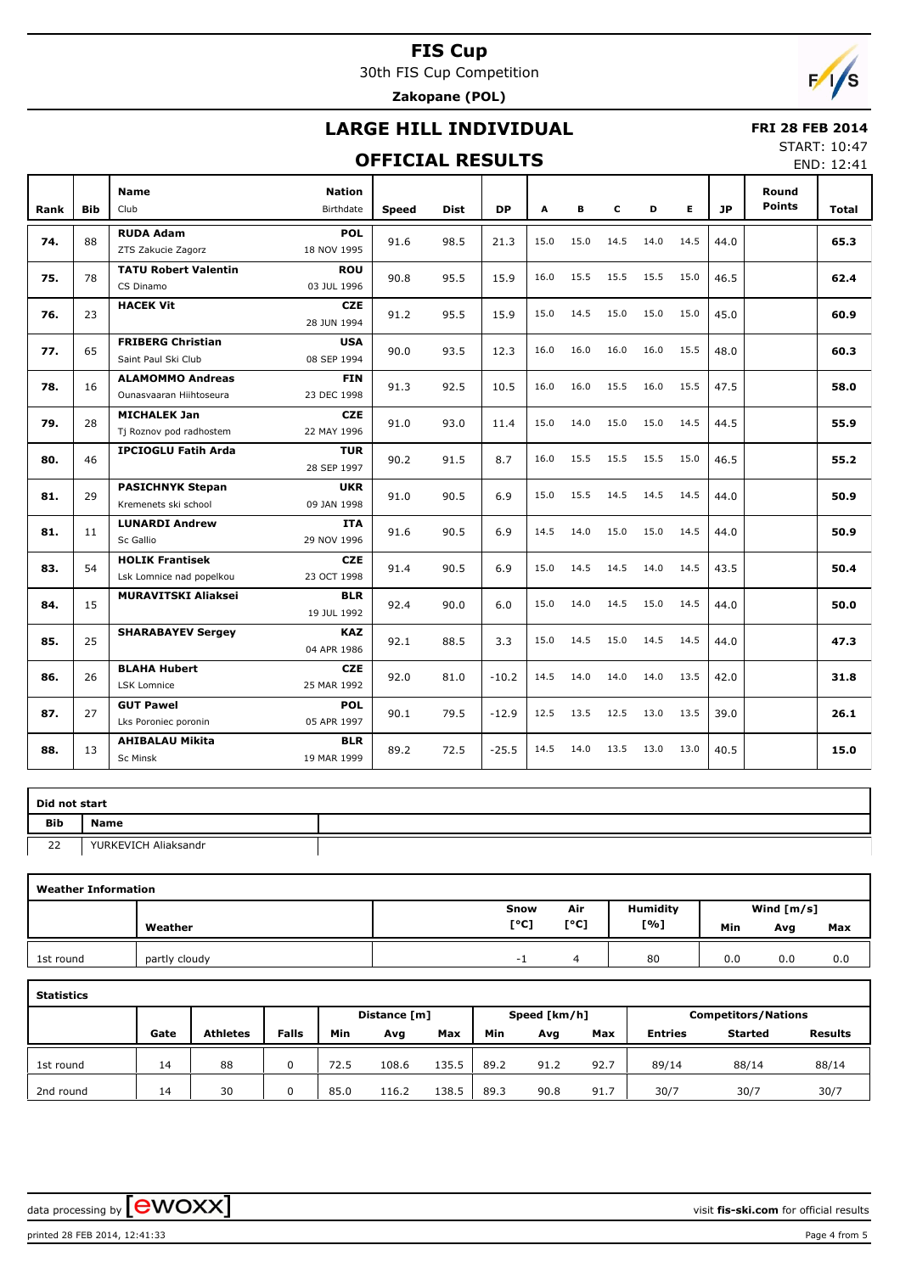30th FIS Cup Competition **Zakopane (POL)**



## **LARGE HILL INDIVIDUAL**

#### **OFFICIAL RESULTS**

 **FRI 28 FEB 2014** START: 10:47

| Rank | <b>Bib</b> | <b>Name</b><br>Club         | <b>Nation</b><br>Birthdate | <b>Speed</b> | <b>Dist</b> | <b>DP</b> | A    | в    | c    | D    | E    | 1P   | Round<br><b>Points</b> | Total |
|------|------------|-----------------------------|----------------------------|--------------|-------------|-----------|------|------|------|------|------|------|------------------------|-------|
|      |            | <b>RUDA Adam</b>            | <b>POL</b>                 |              |             |           |      |      |      |      |      |      |                        |       |
| 74.  | 88         | ZTS Zakucie Zagorz          | 18 NOV 1995                | 91.6         | 98.5        | 21.3      | 15.0 | 15.0 | 14.5 | 14.0 | 14.5 | 44.0 |                        | 65.3  |
|      |            |                             |                            |              |             |           |      |      |      |      |      |      |                        |       |
| 75.  | 78         | <b>TATU Robert Valentin</b> | <b>ROU</b>                 | 90.8         | 95.5        | 15.9      | 16.0 | 15.5 | 15.5 | 15.5 | 15.0 | 46.5 |                        | 62.4  |
|      |            | CS Dinamo                   | 03 JUL 1996                |              |             |           |      |      |      |      |      |      |                        |       |
| 76.  | 23         | <b>HACEK Vit</b>            | <b>CZE</b>                 | 91.2         | 95.5        | 15.9      | 15.0 | 14.5 | 15.0 | 15.0 | 15.0 | 45.0 |                        | 60.9  |
|      |            |                             | 28 JUN 1994                |              |             |           |      |      |      |      |      |      |                        |       |
| 77.  | 65         | <b>FRIBERG Christian</b>    | <b>USA</b>                 | 90.0         | 93.5        | 12.3      | 16.0 | 16.0 | 16.0 | 16.0 | 15.5 | 48.0 |                        | 60.3  |
|      |            | Saint Paul Ski Club         | 08 SEP 1994                |              |             |           |      |      |      |      |      |      |                        |       |
|      |            | <b>ALAMOMMO Andreas</b>     | <b>FIN</b>                 |              |             |           |      |      |      |      |      |      |                        |       |
| 78.  | 16         | Ounasyaaran Hiihtoseura     | 23 DEC 1998                | 91.3         | 92.5        | 10.5      | 16.0 | 16.0 | 15.5 | 16.0 | 15.5 | 47.5 |                        | 58.0  |
|      |            | <b>MICHALEK Jan</b>         | <b>CZE</b>                 |              |             |           |      |      |      |      |      |      |                        |       |
| 79.  | 28         | Tj Roznov pod radhostem     | 22 MAY 1996                | 91.0         | 93.0        | 11.4      | 15.0 | 14.0 | 15.0 | 15.0 | 14.5 | 44.5 |                        | 55.9  |
|      |            | <b>IPCIOGLU Fatih Arda</b>  | <b>TUR</b>                 |              |             |           |      |      |      |      |      |      |                        |       |
| 80.  | 46         |                             | 28 SEP 1997                | 90.2         | 91.5        | 8.7       | 16.0 | 15.5 | 15.5 | 15.5 | 15.0 | 46.5 |                        | 55.2  |
|      |            | <b>PASICHNYK Stepan</b>     | <b>UKR</b>                 |              |             |           |      |      |      |      |      |      |                        |       |
| 81.  | 29         | Kremenets ski school        | 09 JAN 1998                | 91.0         | 90.5        | 6.9       | 15.0 | 15.5 | 14.5 | 14.5 | 14.5 | 44.0 |                        | 50.9  |
|      |            | <b>LUNARDI Andrew</b>       | <b>ITA</b>                 |              |             |           |      |      |      |      |      |      |                        |       |
| 81.  | 11         | Sc Gallio                   | 29 NOV 1996                | 91.6         | 90.5        | 6.9       | 14.5 | 14.0 | 15.0 | 15.0 | 14.5 | 44.0 |                        | 50.9  |
|      |            | <b>HOLIK Frantisek</b>      | <b>CZE</b>                 |              |             |           |      |      |      |      |      |      |                        |       |
| 83.  | 54         | Lsk Lomnice nad popelkou    | 23 OCT 1998                | 91.4         | 90.5        | 6.9       | 15.0 | 14.5 | 14.5 | 14.0 | 14.5 | 43.5 |                        | 50.4  |
|      |            |                             |                            |              |             |           |      |      |      |      |      |      |                        |       |
| 84.  | 15         | <b>MURAVITSKI Aliaksei</b>  | <b>BLR</b>                 | 92.4         | 90.0        | 6.0       | 15.0 | 14.0 | 14.5 | 15.0 | 14.5 | 44.0 |                        | 50.0  |
|      |            |                             | 19 JUL 1992                |              |             |           |      |      |      |      |      |      |                        |       |
| 85.  | 25         | <b>SHARABAYEV Sergey</b>    | <b>KAZ</b>                 | 92.1         | 88.5        | 3.3       | 15.0 | 14.5 | 15.0 | 14.5 | 14.5 | 44.0 |                        | 47.3  |
|      |            |                             | 04 APR 1986                |              |             |           |      |      |      |      |      |      |                        |       |
| 86.  | 26         | <b>BLAHA Hubert</b>         | <b>CZE</b>                 | 92.0         | 81.0        | $-10.2$   | 14.5 | 14.0 | 14.0 | 14.0 | 13.5 | 42.0 |                        | 31.8  |
|      |            | LSK Lomnice                 | 25 MAR 1992                |              |             |           |      |      |      |      |      |      |                        |       |
| 87.  | 27         | <b>GUT Pawel</b>            | <b>POL</b>                 | 90.1         | 79.5        | $-12.9$   | 12.5 | 13.5 | 12.5 | 13.0 | 13.5 | 39.0 |                        | 26.1  |
|      |            | Lks Poroniec poronin        | 05 APR 1997                |              |             |           |      |      |      |      |      |      |                        |       |
|      |            | <b>AHIBALAU Mikita</b>      | <b>BLR</b>                 |              |             |           | 14.5 | 14.0 | 13.5 | 13.0 | 13.0 |      |                        |       |
| 88.  | 13         | <b>Sc Minsk</b>             | 19 MAR 1999                | 89.2         | 72.5        | $-25.5$   |      |      |      |      |      | 40.5 |                        | 15.0  |
|      |            |                             |                            |              |             |           |      |      |      |      |      |      |                        |       |

| Did not start |                      |  |
|---------------|----------------------|--|
| Bib           | <b>Name</b>          |  |
| 22            | YURKEVICH Aliaksandr |  |

| <b>Weather Information</b> |               |      |      |          |     |              |     |
|----------------------------|---------------|------|------|----------|-----|--------------|-----|
|                            |               | Snow | Air  | Humidity |     | Wind $[m/s]$ |     |
|                            | Weather       | [°C] | [°C] | [%]      | Min | Avg          | Max |
| 1st round                  | partly cloudy | - 1  | 4    | 80       | 0.0 | 0.0          | 0.0 |

| tatistic:<br>÷ |
|----------------|
|----------------|

| .         |      |                 |              |      |                              |       |      |      |      |                |         |                            |  |  |
|-----------|------|-----------------|--------------|------|------------------------------|-------|------|------|------|----------------|---------|----------------------------|--|--|
|           |      |                 |              |      | Speed [km/h]<br>Distance [m] |       |      |      |      |                |         | <b>Competitors/Nations</b> |  |  |
|           | Gate | <b>Athletes</b> | <b>Falls</b> | Min  | Avg                          | Max   | Min  | Avg  | Max  | <b>Entries</b> | Started | <b>Results</b>             |  |  |
|           |      |                 |              |      |                              |       |      |      |      |                |         |                            |  |  |
| 1st round | 14   | 88              |              | 72.5 | 108.6                        | 135.5 | 89.2 | 91.2 | 92.7 | 89/14          | 88/14   | 88/14                      |  |  |
|           |      |                 |              |      |                              |       |      |      |      |                |         |                            |  |  |
| 2nd round | 14   | 30              |              | 85.0 | 116.2                        | 138.5 | 89.3 | 90.8 | 91.7 | 30/7           | 30/7    | 30/7                       |  |  |

data processing by **CWOXX**  $\blacksquare$ 

printed 28 FEB 2014, 12:41:33 Page 4 from 5